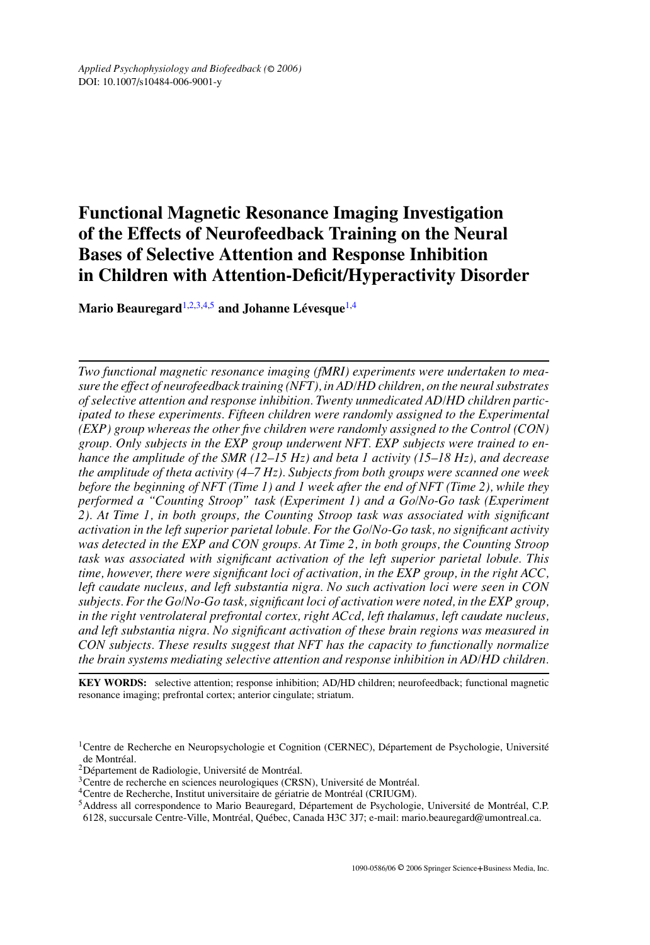# **Functional Magnetic Resonance Imaging Investigation of the Effects of Neurofeedback Training on the Neural Bases of Selective Attention and Response Inhibition in Children with Attention-Deficit/Hyperactivity Disorder**

**Mario Beauregard**<sup>[1](#page-0-0)[,2](#page-0-1)[,3,](#page-0-2)[4](#page-0-3)[,5](#page-0-4)</sup> and Johanne Lévesque<sup>[1,](#page-0-0)4</sup>

*Two functional magnetic resonance imaging (fMRI) experiments were undertaken to measure the effect of neurofeedback training (NFT), in AD/HD children, on the neural substrates of selective attention and response inhibition. Twenty unmedicated AD/HD children participated to these experiments. Fifteen children were randomly assigned to the Experimental (EXP) group whereas the other five children were randomly assigned to the Control (CON) group. Only subjects in the EXP group underwent NFT. EXP subjects were trained to enhance the amplitude of the SMR (12–15 Hz) and beta 1 activity (15–18 Hz), and decrease the amplitude of theta activity (4–7 Hz). Subjects from both groups were scanned one week before the beginning of NFT (Time 1) and 1 week after the end of NFT (Time 2), while they performed a "Counting Stroop" task (Experiment 1) and a Go/No-Go task (Experiment 2). At Time 1, in both groups, the Counting Stroop task was associated with significant activation in the left superior parietal lobule. For the Go/No-Go task, no significant activity was detected in the EXP and CON groups. At Time 2, in both groups, the Counting Stroop task was associated with significant activation of the left superior parietal lobule. This time, however, there were significant loci of activation, in the EXP group, in the right ACC, left caudate nucleus, and left substantia nigra. No such activation loci were seen in CON subjects. For the Go/No-Go task, significant loci of activation were noted, in the EXP group, in the right ventrolateral prefrontal cortex, right ACcd, left thalamus, left caudate nucleus, and left substantia nigra. No significant activation of these brain regions was measured in CON subjects. These results suggest that NFT has the capacity to functionally normalize the brain systems mediating selective attention and response inhibition in AD/HD children.*

**KEY WORDS:** selective attention; response inhibition; AD/HD children; neurofeedback; functional magnetic resonance imaging; prefrontal cortex; anterior cingulate; striatum.

<sup>&</sup>lt;sup>1</sup>Centre de Recherche en Neuropsychologie et Cognition (CERNEC), Département de Psychologie, Université

<span id="page-0-1"></span>

<span id="page-0-4"></span><span id="page-0-3"></span><span id="page-0-2"></span>

<span id="page-0-0"></span>de Montréal.<br><sup>2</sup> Département de Radiologie, Université de Montréal.<br><sup>3</sup> Centre de recherche en sciences neurologiques (CRSN), Université de Montréal.<br><sup>4</sup> Centre de Recherche, Institut universitaire de gériatrie de Montréal 6128, succursale Centre-Ville, Montréal, Québec, Canada H3C 3J7; e-mail: mario.beauregard@umontreal.ca.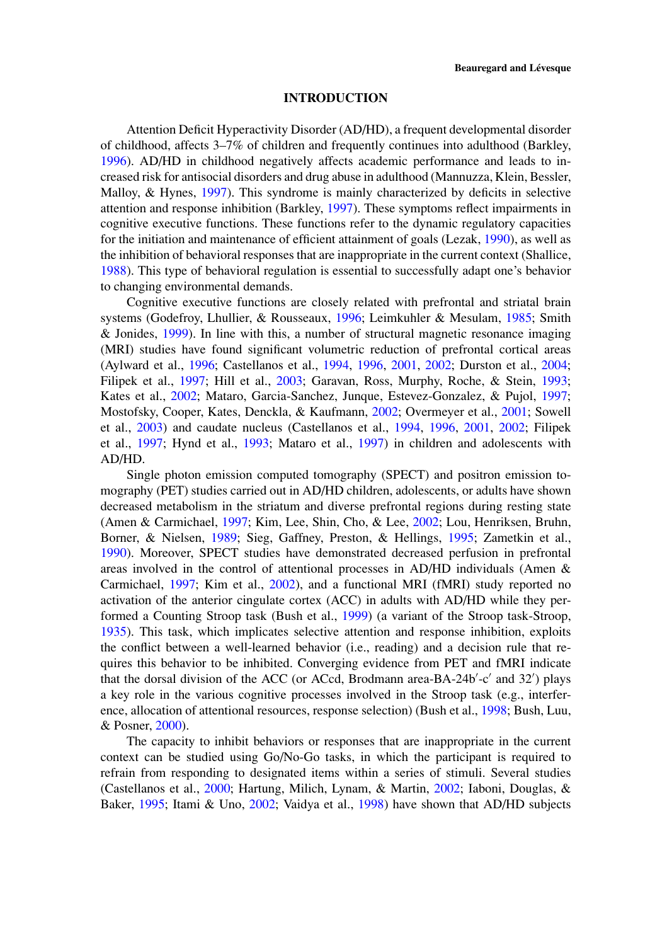## **INTRODUCTION**

Attention Deficit Hyperactivity Disorder (AD/HD), a frequent developmental disorder of childhood, affects 3–7% of children and frequently continues into adulthood (Barkley, [1996\)](#page-14-0). AD/HD in childhood negatively affects academic performance and leads to increased risk for antisocial disorders and drug abuse in adulthood (Mannuzza, Klein, Bessler, Malloy, & Hynes, [1997\)](#page-16-0). This syndrome is mainly characterized by deficits in selective attention and response inhibition (Barkley, [1997\)](#page-14-1). These symptoms reflect impairments in cognitive executive functions. These functions refer to the dynamic regulatory capacities for the initiation and maintenance of efficient attainment of goals (Lezak, [1990\)](#page-15-0), as well as the inhibition of behavioral responses that are inappropriate in the current context (Shallice, [1988\)](#page-16-1). This type of behavioral regulation is essential to successfully adapt one's behavior to changing environmental demands.

Cognitive executive functions are closely related with prefrontal and striatal brain systems (Godefroy, Lhullier, & Rousseaux, [1996;](#page-15-1) Leimkuhler & Mesulam, [1985;](#page-15-2) Smith & Jonides, [1999\)](#page-17-0). In line with this, a number of structural magnetic resonance imaging (MRI) studies have found significant volumetric reduction of prefrontal cortical areas (Aylward et al., [1996;](#page-14-2) Castellanos et al., [1994,](#page-14-3) [1996,](#page-14-4) [2001,](#page-14-5) [2002;](#page-14-6) Durston et al., [2004;](#page-15-3) Filipek et al., [1997;](#page-15-4) Hill et al., [2003;](#page-15-5) Garavan, Ross, Murphy, Roche, & Stein, [1993;](#page-15-6) Kates et al., [2002;](#page-15-7) Mataro, Garcia-Sanchez, Junque, Estevez-Gonzalez, & Pujol, [1997;](#page-16-2) Mostofsky, Cooper, Kates, Denckla, & Kaufmann, [2002;](#page-16-3) Overmeyer et al., [2001;](#page-16-4) Sowell et al., [2003\)](#page-17-1) and caudate nucleus (Castellanos et al., [1994,](#page-14-3) [1996,](#page-14-4) [2001,](#page-14-5) [2002;](#page-14-6) Filipek et al., [1997;](#page-15-4) Hynd et al., [1993;](#page-15-8) Mataro et al., [1997\)](#page-16-2) in children and adolescents with AD/HD.

Single photon emission computed tomography (SPECT) and positron emission tomography (PET) studies carried out in AD/HD children, adolescents, or adults have shown decreased metabolism in the striatum and diverse prefrontal regions during resting state (Amen & Carmichael, [1997;](#page-14-7) Kim, Lee, Shin, Cho, & Lee, [2002;](#page-15-9) Lou, Henriksen, Bruhn, Borner, & Nielsen, [1989;](#page-16-5) Sieg, Gaffney, Preston, & Hellings, [1995;](#page-16-6) Zametkin et al., [1990\)](#page-17-2). Moreover, SPECT studies have demonstrated decreased perfusion in prefrontal areas involved in the control of attentional processes in AD/HD individuals (Amen & Carmichael, [1997;](#page-14-7) Kim et al., [2002\)](#page-15-9), and a functional MRI (fMRI) study reported no activation of the anterior cingulate cortex (ACC) in adults with AD/HD while they performed a Counting Stroop task (Bush et al., [1999\)](#page-14-8) (a variant of the Stroop task-Stroop, [1935\)](#page-17-3). This task, which implicates selective attention and response inhibition, exploits the conflict between a well-learned behavior (i.e., reading) and a decision rule that requires this behavior to be inhibited. Converging evidence from PET and fMRI indicate that the dorsal division of the ACC (or ACcd, Brodmann area-BA-24b'-c' and 32') plays a key role in the various cognitive processes involved in the Stroop task (e.g., interference, allocation of attentional resources, response selection) (Bush et al., [1998;](#page-14-9) Bush, Luu, & Posner, [2000\)](#page-14-10).

The capacity to inhibit behaviors or responses that are inappropriate in the current context can be studied using Go/No-Go tasks, in which the participant is required to refrain from responding to designated items within a series of stimuli. Several studies (Castellanos et al., [2000;](#page-14-11) Hartung, Milich, Lynam, & Martin, [2002;](#page-15-10) Iaboni, Douglas, & Baker, [1995;](#page-15-11) Itami & Uno, [2002;](#page-15-12) Vaidya et al., [1998\)](#page-17-4) have shown that AD/HD subjects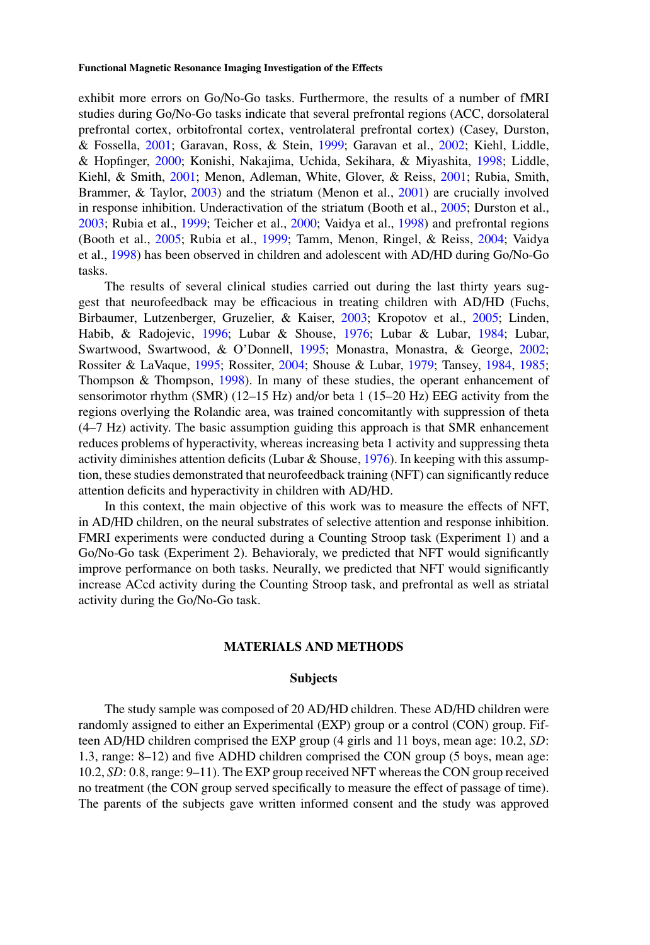exhibit more errors on Go/No-Go tasks. Furthermore, the results of a number of fMRI studies during Go/No-Go tasks indicate that several prefrontal regions (ACC, dorsolateral prefrontal cortex, orbitofrontal cortex, ventrolateral prefrontal cortex) (Casey, Durston, & Fossella, [2001;](#page-14-12) Garavan, Ross, & Stein, [1999;](#page-15-13) Garavan et al., [2002;](#page-15-6) Kiehl, Liddle, & Hopfinger, [2000;](#page-15-14) Konishi, Nakajima, Uchida, Sekihara, & Miyashita, [1998;](#page-15-15) Liddle, Kiehl, & Smith, [2001;](#page-16-7) Menon, Adleman, White, Glover, & Reiss, [2001;](#page-16-8) Rubia, Smith, Brammer, & Taylor, [2003\)](#page-16-9) and the striatum (Menon et al., [2001\)](#page-16-8) are crucially involved in response inhibition. Underactivation of the striatum (Booth et al., [2005;](#page-14-13) Durston et al., [2003;](#page-15-16) Rubia et al., [1999;](#page-16-10) Teicher et al., [2000;](#page-17-5) Vaidya et al., [1998\)](#page-17-4) and prefrontal regions (Booth et al., [2005;](#page-14-13) Rubia et al., [1999;](#page-16-10) Tamm, Menon, Ringel, & Reiss, [2004;](#page-17-6) Vaidya et al., [1998\)](#page-17-4) has been observed in children and adolescent with AD/HD during Go/No-Go tasks.

The results of several clinical studies carried out during the last thirty years suggest that neurofeedback may be efficacious in treating children with AD/HD (Fuchs, Birbaumer, Lutzenberger, Gruzelier, & Kaiser, [2003;](#page-15-17) Kropotov et al., [2005;](#page-15-18) Linden, Habib, & Radojevic, [1996;](#page-16-11) Lubar & Shouse, [1976;](#page-16-12) Lubar & Lubar, [1984;](#page-16-13) Lubar, Swartwood, Swartwood, & O'Donnell, [1995;](#page-16-14) Monastra, Monastra, & George, [2002;](#page-16-15) Rossiter & LaVaque, [1995;](#page-16-16) Rossiter, [2004;](#page-16-17) Shouse & Lubar, [1979;](#page-16-18) Tansey, [1984,](#page-17-7) [1985;](#page-17-8) Thompson & Thompson, [1998\)](#page-17-9). In many of these studies, the operant enhancement of sensorimotor rhythm (SMR) (12–15 Hz) and/or beta 1 (15–20 Hz) EEG activity from the regions overlying the Rolandic area, was trained concomitantly with suppression of theta (4–7 Hz) activity. The basic assumption guiding this approach is that SMR enhancement reduces problems of hyperactivity, whereas increasing beta 1 activity and suppressing theta activity diminishes attention deficits (Lubar & Shouse,  $1976$ ). In keeping with this assumption, these studies demonstrated that neurofeedback training (NFT) can significantly reduce attention deficits and hyperactivity in children with AD/HD.

In this context, the main objective of this work was to measure the effects of NFT, in AD/HD children, on the neural substrates of selective attention and response inhibition. FMRI experiments were conducted during a Counting Stroop task (Experiment 1) and a Go/No-Go task (Experiment 2). Behavioraly, we predicted that NFT would significantly improve performance on both tasks. Neurally, we predicted that NFT would significantly increase ACcd activity during the Counting Stroop task, and prefrontal as well as striatal activity during the Go/No-Go task.

# **MATERIALS AND METHODS**

#### **Subjects**

The study sample was composed of 20 AD/HD children. These AD/HD children were randomly assigned to either an Experimental (EXP) group or a control (CON) group. Fifteen AD/HD children comprised the EXP group (4 girls and 11 boys, mean age: 10.2, *SD*: 1.3, range: 8–12) and five ADHD children comprised the CON group (5 boys, mean age: 10.2, *SD*: 0.8, range: 9–11). The EXP group received NFT whereas the CON group received no treatment (the CON group served specifically to measure the effect of passage of time). The parents of the subjects gave written informed consent and the study was approved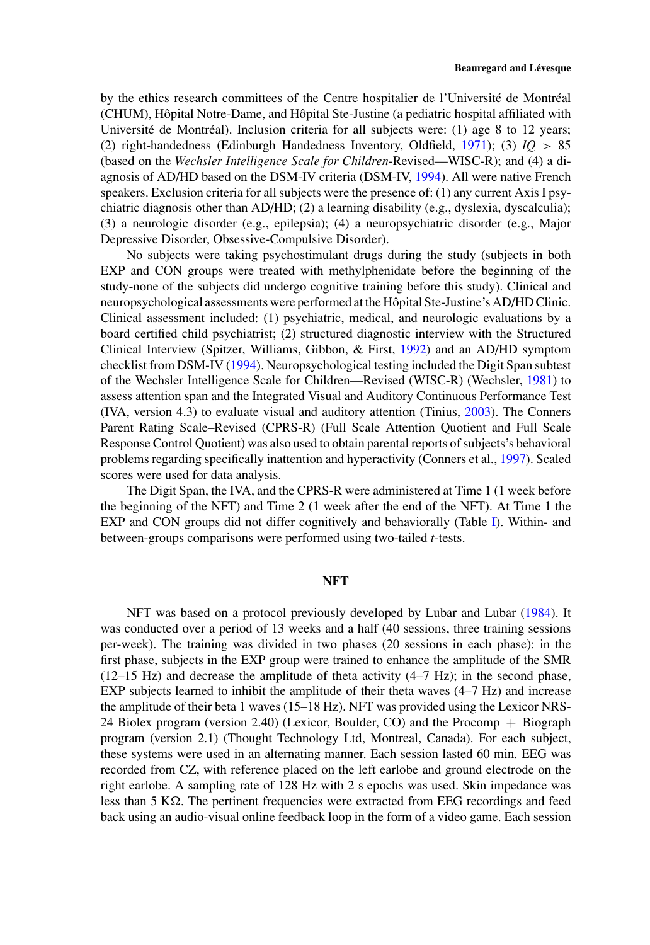by the ethics research committees of the Centre hospitalier de l'Université de Montréal (CHUM), Hôpital Notre-Dame, and Hôpital Ste-Justine (a pediatric hospital affiliated with Université de Montréal). Inclusion criteria for all subjects were:  $(1)$  age 8 to 12 years; (2) right-handedness (Edinburgh Handedness Inventory, Oldfield, [1971\)](#page-16-19); (3) *IQ >* 85 (based on the *Wechsler Intelligence Scale for Children*-Revised—WISC-R); and (4) a diagnosis of AD/HD based on the DSM-IV criteria (DSM-IV, [1994\)](#page-15-19). All were native French speakers. Exclusion criteria for all subjects were the presence of: (1) any current Axis I psychiatric diagnosis other than AD/HD; (2) a learning disability (e.g., dyslexia, dyscalculia); (3) a neurologic disorder (e.g., epilepsia); (4) a neuropsychiatric disorder (e.g., Major Depressive Disorder, Obsessive-Compulsive Disorder).

No subjects were taking psychostimulant drugs during the study (subjects in both EXP and CON groups were treated with methylphenidate before the beginning of the study-none of the subjects did undergo cognitive training before this study). Clinical and neuropsychological assessments were performed at the Hopital Ste-Justine's AD/HD Clinic. ˆ Clinical assessment included: (1) psychiatric, medical, and neurologic evaluations by a board certified child psychiatrist; (2) structured diagnostic interview with the Structured Clinical Interview (Spitzer, Williams, Gibbon, & First, [1992\)](#page-17-10) and an AD/HD symptom checklist from DSM-IV [\(1994\)](#page-15-19). Neuropsychological testing included the Digit Span subtest of the Wechsler Intelligence Scale for Children—Revised (WISC-R) (Wechsler, [1981\)](#page-17-11) to assess attention span and the Integrated Visual and Auditory Continuous Performance Test (IVA, version 4.3) to evaluate visual and auditory attention (Tinius, [2003\)](#page-17-12). The Conners Parent Rating Scale–Revised (CPRS-R) (Full Scale Attention Quotient and Full Scale Response Control Quotient) was also used to obtain parental reports of subjects's behavioral problems regarding specifically inattention and hyperactivity (Conners et al., [1997\)](#page-14-14). Scaled scores were used for data analysis.

The Digit Span, the IVA, and the CPRS-R were administered at Time 1 (1 week before the beginning of the NFT) and Time 2 (1 week after the end of the NFT). At Time 1 the EXP and CON groups did not differ cognitively and behaviorally (Table [I\)](#page-4-0). Within- and between-groups comparisons were performed using two-tailed *t*-tests.

# **NFT**

NFT was based on a protocol previously developed by Lubar and Lubar [\(1984\)](#page-16-13). It was conducted over a period of 13 weeks and a half (40 sessions, three training sessions per-week). The training was divided in two phases (20 sessions in each phase): in the first phase, subjects in the EXP group were trained to enhance the amplitude of the SMR  $(12-15 \text{ Hz})$  and decrease the amplitude of theta activity  $(4-7 \text{ Hz})$ ; in the second phase, EXP subjects learned to inhibit the amplitude of their theta waves (4–7 Hz) and increase the amplitude of their beta 1 waves (15–18 Hz). NFT was provided using the Lexicor NRS-24 Biolex program (version 2.40) (Lexicor, Boulder, CO) and the Procomp + Biograph program (version 2.1) (Thought Technology Ltd, Montreal, Canada). For each subject, these systems were used in an alternating manner. Each session lasted 60 min. EEG was recorded from CZ, with reference placed on the left earlobe and ground electrode on the right earlobe. A sampling rate of 128 Hz with 2 s epochs was used. Skin impedance was less than  $5 K\Omega$ . The pertinent frequencies were extracted from EEG recordings and feed back using an audio-visual online feedback loop in the form of a video game. Each session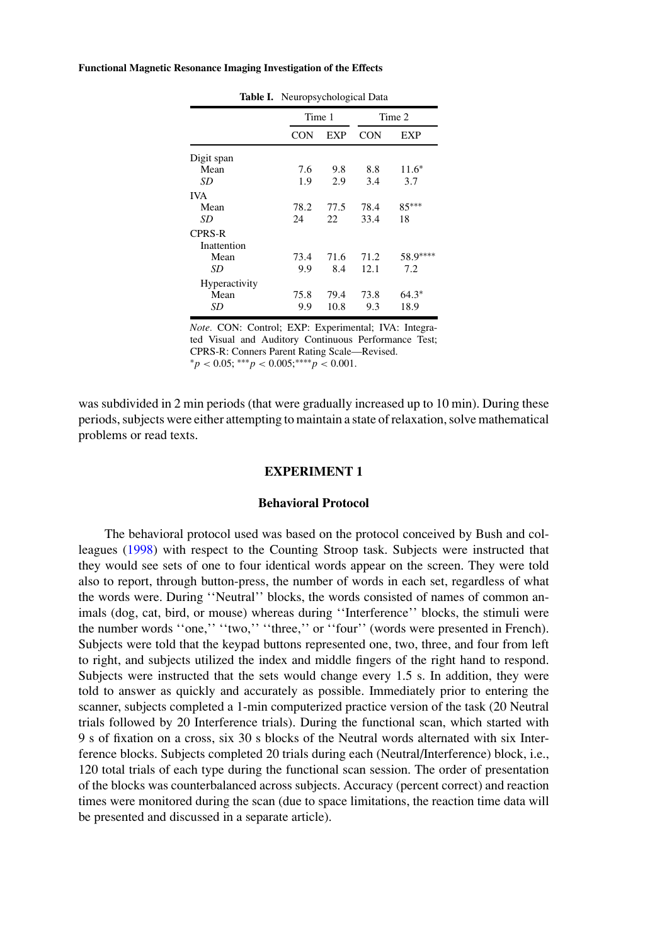<span id="page-4-0"></span>

| Table I. Neuropsychological Data |            |            |          |  |
|----------------------------------|------------|------------|----------|--|
|                                  |            | Time 2     |          |  |
| CON                              | <b>EXP</b> | <b>CON</b> | EXP      |  |
|                                  |            |            |          |  |
| 7.6                              | 9.8        | 8.8        | $11.6*$  |  |
| 1.9                              | 2.9        | 3.4        | 3.7      |  |
|                                  |            |            |          |  |
| 78.2                             | 77.5       | 78.4       | 85***    |  |
| 24                               | 22         | 33.4       | 18       |  |
|                                  |            |            |          |  |
|                                  |            |            |          |  |
| 73.4                             | 71.6       | 71.2       | 58.9**** |  |
| 9.9                              | 8.4        | 12.1       | 7.2      |  |
|                                  |            |            |          |  |
| 75.8                             | 79.4       | 73.8       | $64.3*$  |  |
| 9.9                              | 10.8       | 9.3        | 18.9     |  |
|                                  |            | Time 1     |          |  |

*Note.* CON: Control; EXP: Experimental; IVA: Integrated Visual and Auditory Continuous Performance Test; CPRS-R: Conners Parent Rating Scale—Revised.  ${}^{*}p$  < 0.05; \*\*\**p* < 0.005;\*\*\*\**p* < 0.001.

was subdivided in 2 min periods (that were gradually increased up to 10 min). During these periods, subjects were either attempting to maintain a state of relaxation, solve mathematical problems or read texts.

# **EXPERIMENT 1**

# **Behavioral Protocol**

The behavioral protocol used was based on the protocol conceived by Bush and colleagues [\(1998\)](#page-14-8) with respect to the Counting Stroop task. Subjects were instructed that they would see sets of one to four identical words appear on the screen. They were told also to report, through button-press, the number of words in each set, regardless of what the words were. During ''Neutral'' blocks, the words consisted of names of common animals (dog, cat, bird, or mouse) whereas during ''Interference'' blocks, the stimuli were the number words ''one,'' ''two,'' ''three,'' or ''four'' (words were presented in French). Subjects were told that the keypad buttons represented one, two, three, and four from left to right, and subjects utilized the index and middle fingers of the right hand to respond. Subjects were instructed that the sets would change every 1.5 s. In addition, they were told to answer as quickly and accurately as possible. Immediately prior to entering the scanner, subjects completed a 1-min computerized practice version of the task (20 Neutral trials followed by 20 Interference trials). During the functional scan, which started with 9 s of fixation on a cross, six 30 s blocks of the Neutral words alternated with six Interference blocks. Subjects completed 20 trials during each (Neutral/Interference) block, i.e., 120 total trials of each type during the functional scan session. The order of presentation of the blocks was counterbalanced across subjects. Accuracy (percent correct) and reaction times were monitored during the scan (due to space limitations, the reaction time data will be presented and discussed in a separate article).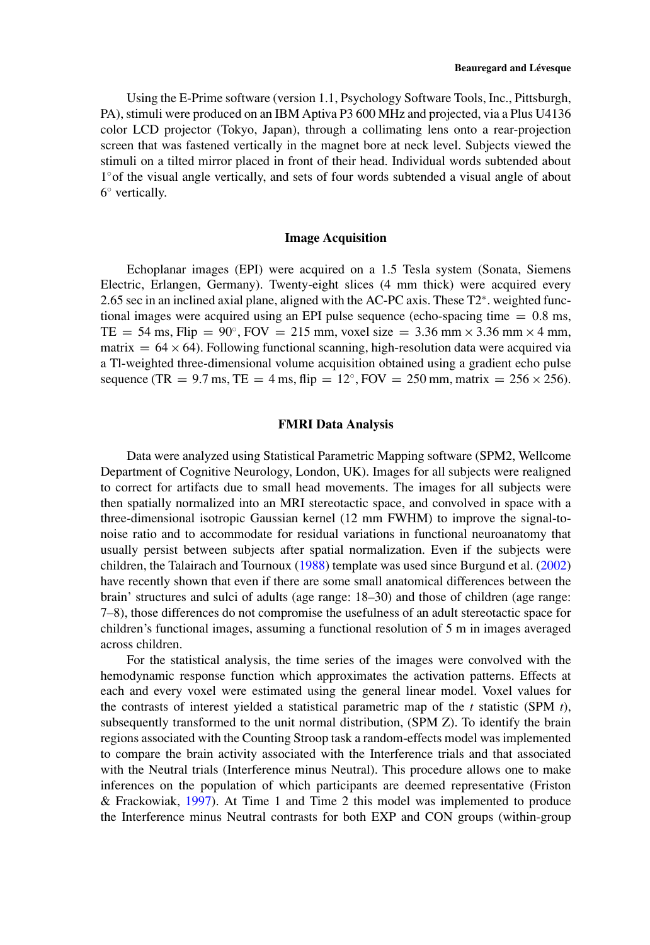Using the E-Prime software (version 1.1, Psychology Software Tools, Inc., Pittsburgh, PA), stimuli were produced on an IBM Aptiva P3 600 MHz and projected, via a Plus U4136 color LCD projector (Tokyo, Japan), through a collimating lens onto a rear-projection screen that was fastened vertically in the magnet bore at neck level. Subjects viewed the stimuli on a tilted mirror placed in front of their head. Individual words subtended about 1◦of the visual angle vertically, and sets of four words subtended a visual angle of about 6◦ vertically.

# **Image Acquisition**

Echoplanar images (EPI) were acquired on a 1.5 Tesla system (Sonata, Siemens Electric, Erlangen, Germany). Twenty-eight slices (4 mm thick) were acquired every 2.65 sec in an inclined axial plane, aligned with the AC-PC axis. These T2<sup>∗</sup>. weighted functional images were acquired using an EPI pulse sequence (echo-spacing time  $= 0.8$  ms, TE = 54 ms, Flip =  $90^\circ$ , FOV = 215 mm, voxel size = 3.36 mm  $\times$  3.36 mm  $\times$  4 mm, matrix  $= 64 \times 64$ ). Following functional scanning, high-resolution data were acquired via a Tl-weighted three-dimensional volume acquisition obtained using a gradient echo pulse sequence (TR = 9.7 ms, TE = 4 ms, flip =  $12^\circ$ , FOV = 250 mm, matrix =  $256 \times 256$ ).

#### **FMRI Data Analysis**

Data were analyzed using Statistical Parametric Mapping software (SPM2, Wellcome Department of Cognitive Neurology, London, UK). Images for all subjects were realigned to correct for artifacts due to small head movements. The images for all subjects were then spatially normalized into an MRI stereotactic space, and convolved in space with a three-dimensional isotropic Gaussian kernel (12 mm FWHM) to improve the signal-tonoise ratio and to accommodate for residual variations in functional neuroanatomy that usually persist between subjects after spatial normalization. Even if the subjects were children, the Talairach and Tournoux [\(1988\)](#page-17-13) template was used since Burgund et al. [\(2002\)](#page-14-15) have recently shown that even if there are some small anatomical differences between the brain' structures and sulci of adults (age range: 18–30) and those of children (age range: 7–8), those differences do not compromise the usefulness of an adult stereotactic space for children's functional images, assuming a functional resolution of 5 m in images averaged across children.

For the statistical analysis, the time series of the images were convolved with the hemodynamic response function which approximates the activation patterns. Effects at each and every voxel were estimated using the general linear model. Voxel values for the contrasts of interest yielded a statistical parametric map of the  $t$  statistic (SPM  $t$ ), subsequently transformed to the unit normal distribution, (SPM Z). To identify the brain regions associated with the Counting Stroop task a random-effects model was implemented to compare the brain activity associated with the Interference trials and that associated with the Neutral trials (Interference minus Neutral). This procedure allows one to make inferences on the population of which participants are deemed representative (Friston & Frackowiak, [1997\)](#page-15-20). At Time 1 and Time 2 this model was implemented to produce the Interference minus Neutral contrasts for both EXP and CON groups (within-group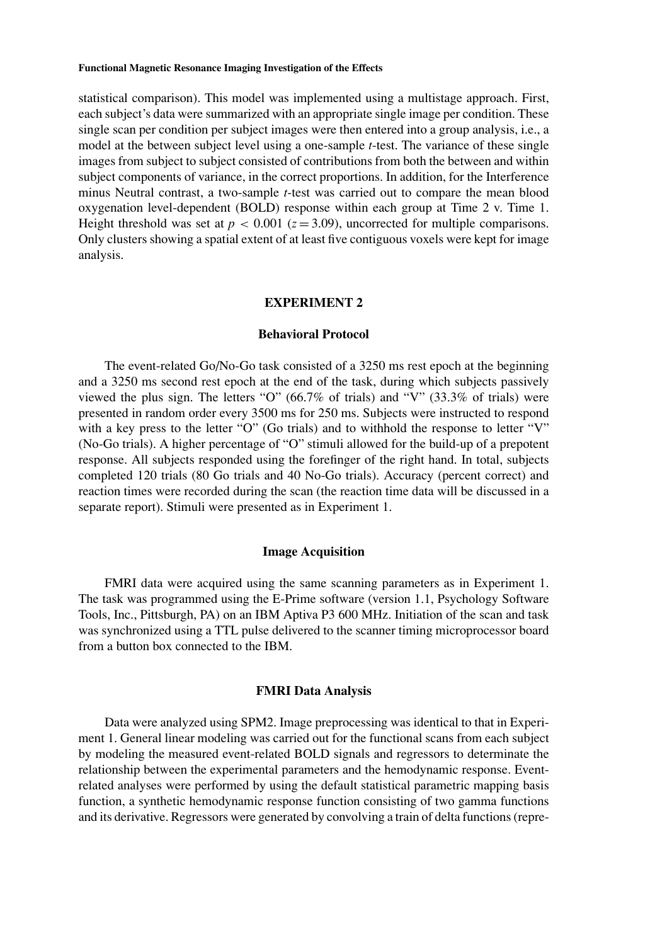statistical comparison). This model was implemented using a multistage approach. First, each subject's data were summarized with an appropriate single image per condition. These single scan per condition per subject images were then entered into a group analysis, i.e., a model at the between subject level using a one-sample *t*-test. The variance of these single images from subject to subject consisted of contributions from both the between and within subject components of variance, in the correct proportions. In addition, for the Interference minus Neutral contrast, a two-sample *t*-test was carried out to compare the mean blood oxygenation level-dependent (BOLD) response within each group at Time 2 v. Time 1. Height threshold was set at  $p < 0.001$  ( $z = 3.09$ ), uncorrected for multiple comparisons. Only clusters showing a spatial extent of at least five contiguous voxels were kept for image analysis.

# **EXPERIMENT 2**

# **Behavioral Protocol**

The event-related Go/No-Go task consisted of a 3250 ms rest epoch at the beginning and a 3250 ms second rest epoch at the end of the task, during which subjects passively viewed the plus sign. The letters "O" (66.7% of trials) and "V" (33.3% of trials) were presented in random order every 3500 ms for 250 ms. Subjects were instructed to respond with a key press to the letter "O" (Go trials) and to withhold the response to letter "V" (No-Go trials). A higher percentage of "O" stimuli allowed for the build-up of a prepotent response. All subjects responded using the forefinger of the right hand. In total, subjects completed 120 trials (80 Go trials and 40 No-Go trials). Accuracy (percent correct) and reaction times were recorded during the scan (the reaction time data will be discussed in a separate report). Stimuli were presented as in Experiment 1.

# **Image Acquisition**

FMRI data were acquired using the same scanning parameters as in Experiment 1. The task was programmed using the E-Prime software (version 1.1, Psychology Software Tools, Inc., Pittsburgh, PA) on an IBM Aptiva P3 600 MHz. Initiation of the scan and task was synchronized using a TTL pulse delivered to the scanner timing microprocessor board from a button box connected to the IBM.

# **FMRI Data Analysis**

Data were analyzed using SPM2. Image preprocessing was identical to that in Experiment 1. General linear modeling was carried out for the functional scans from each subject by modeling the measured event-related BOLD signals and regressors to determinate the relationship between the experimental parameters and the hemodynamic response. Eventrelated analyses were performed by using the default statistical parametric mapping basis function, a synthetic hemodynamic response function consisting of two gamma functions and its derivative. Regressors were generated by convolving a train of delta functions (repre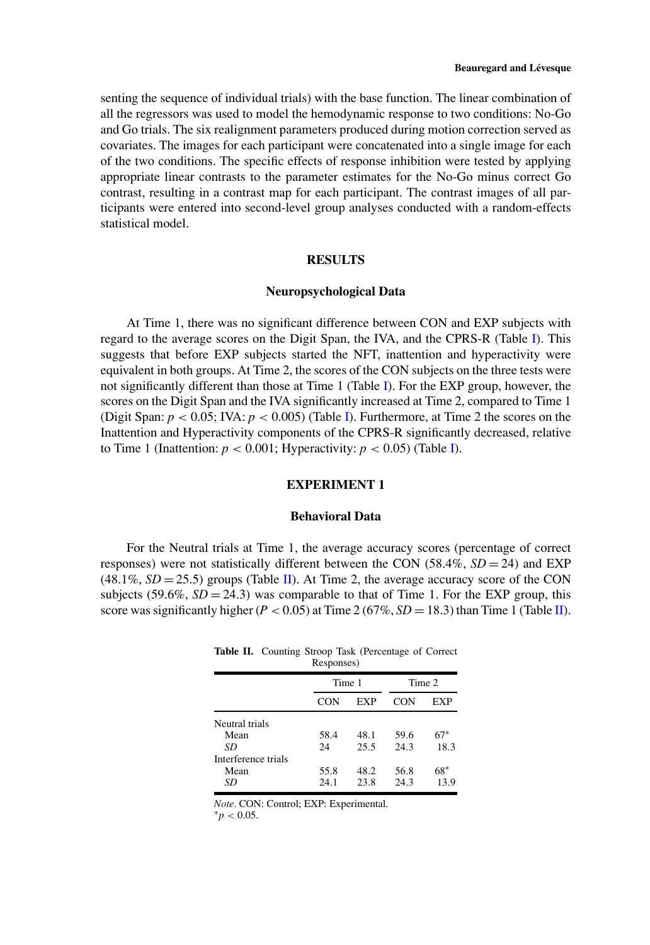senting the sequence of individual trials) with the base function. The linear combination of all the regressors was used to model the hemodynamic response to two conditions: No-Go and Go trials. The six realignment parameters produced during motion correction served as covariates. The images for each participant were concatenated into a single image for each of the two conditions. The specific effects of response inhibition were tested by applying appropriate linear contrasts to the parameter estimates for the No-Go minus correct Go contrast, resulting in a contrast map for each participant. The contrast images of all participants were entered into second-level group analyses conducted with a random-effects statistical model.

#### **RESULTS**

#### **Neuropsychological Data**

At Time 1, there was no significant difference between CON and EXP subjects with regard to the average scores on the Digit Span, the IVA, and the CPRS-R (Table [I\)](#page-4-0). This suggests that before EXP subjects started the NFT, inattention and hyperactivity were equivalent in both groups. At Time 2, the scores of the CON subjects on the three tests were not significantly different than those at Time 1 (Table [I\)](#page-4-0). For the EXP group, however, the scores on the Digit Span and the IVA significantly increased at Time 2, compared to Time 1 (Digit Span:  $p < 0.05$ ; IVA:  $p < 0.005$ ) (Table [I\)](#page-4-0). Furthermore, at Time 2 the scores on the Inattention and Hyperactivity components of the CPRS-R significantly decreased, relative to Time 1 (Inattention:  $p < 0.001$ ; Hyperactivity:  $p < 0.05$ ) (Table [I\)](#page-4-0).

# **EXPERIMENT 1**

#### **Behavioral Data**

<span id="page-7-0"></span>For the Neutral trials at Time 1, the average accuracy scores (percentage of correct responses) were not statistically different between the CON  $(58.4\%, SD = 24)$  and EXP  $(48.1\%, SD = 25.5)$  groups (Table [II\)](#page-7-0). At Time 2, the average accuracy score of the CON subjects  $(59.6\%, SD = 24.3)$  was comparable to that of Time 1. For the EXP group, this score was significantly higher ( $P < 0.05$ ) at Time 2 (67%,  $SD = 18.3$ ) than Time 1 (Table [II\)](#page-7-0).

**Table II.** Counting Stroop Task (Percentage of Correct Responses)

|                     |      | Time 1 |      | Time 2 |
|---------------------|------|--------|------|--------|
|                     | CON  | EXP    | CON  | EXP    |
| Neutral trials      |      |        |      |        |
| Mean                | 58.4 | 48.1   | 59.6 | $67*$  |
| SD                  | 24   | 25.5   | 243  | 18.3   |
| Interference trials |      |        |      |        |
| Mean                | 55.8 | 48.2   | 56.8 | 68*    |
| SD                  | 24.1 | 23.8   | 24.3 | 13.9   |
|                     |      |        |      |        |

*Note.* CON: Control; EXP: Experimental. <sup>∗</sup>*<sup>p</sup> <sup>&</sup>lt;* 0.05.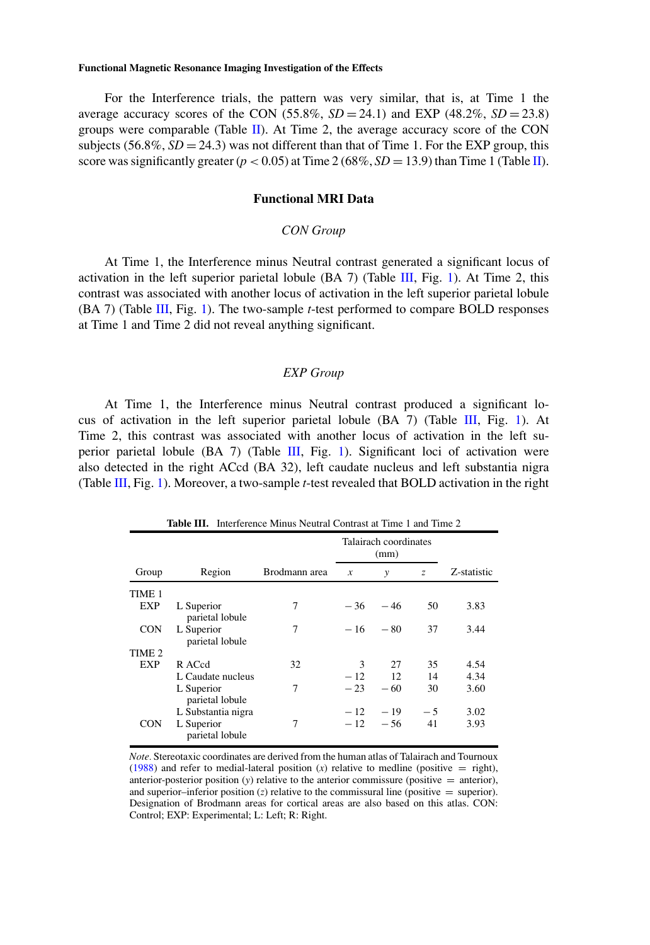For the Interference trials, the pattern was very similar, that is, at Time 1 the average accuracy scores of the CON  $(55.8\%, SD = 24.1)$  and EXP  $(48.2\%, SD = 23.8)$ groups were comparable (Table [II\)](#page-7-0). At Time 2, the average accuracy score of the CON subjects  $(56.8\%, SD = 24.3)$  was not different than that of Time 1. For the EXP group, this score was significantly greater  $(p < 0.05)$  at Time 2 (68%,  $SD = 13.9$ ) than Time 1 (Table [II\)](#page-7-0).

# **Functional MRI Data**

# *CON Group*

At Time 1, the Interference minus Neutral contrast generated a significant locus of activation in the left superior parietal lobule (BA 7) (Table [III,](#page-8-0) Fig. [1\)](#page-9-0). At Time 2, this contrast was associated with another locus of activation in the left superior parietal lobule (BA 7) (Table [III,](#page-8-0) Fig. [1\)](#page-9-0). The two-sample *t*-test performed to compare BOLD responses at Time 1 and Time 2 did not reveal anything significant.

# *EXP Group*

At Time 1, the Interference minus Neutral contrast produced a significant lo-cus of activation in the left superior parietal lobule (BA 7) (Table [III,](#page-8-0) Fig. [1\)](#page-9-0). At Time 2, this contrast was associated with another locus of activation in the left superior parietal lobule (BA 7) (Table [III,](#page-8-0) Fig. [1\)](#page-9-0). Significant loci of activation were also detected in the right ACcd (BA 32), left caudate nucleus and left substantia nigra (Table [III,](#page-8-0) Fig. [1\)](#page-9-0). Moreover, a two-sample *t*-test revealed that BOLD activation in the right

<span id="page-8-0"></span>

|                   |                               |               | Talairach coordinates<br>(mm) |       |      |             |  |
|-------------------|-------------------------------|---------------|-------------------------------|-------|------|-------------|--|
| Group             | Region                        | Brodmann area | $\boldsymbol{x}$              | y     | z    | Z-statistic |  |
| TIME 1            |                               |               |                               |       |      |             |  |
| <b>EXP</b>        | L Superior<br>parietal lobule | 7             | $-36$                         | $-46$ | 50   | 3.83        |  |
| <b>CON</b>        | L Superior<br>parietal lobule | 7             | $-16$                         | $-80$ | 37   | 3.44        |  |
| TIME <sub>2</sub> |                               |               |                               |       |      |             |  |
| EXP               | R ACcd                        | 32            | 3                             | 27    | 35   | 4.54        |  |
|                   | L Caudate nucleus             |               | $-12$                         | 12    | 14   | 4.34        |  |
|                   | L Superior<br>parietal lobule | 7             | $-23$                         | $-60$ | 30   | 3.60        |  |
|                   | L Substantia nigra            |               | $-12$                         | $-19$ | $-5$ | 3.02        |  |
| <b>CON</b>        | L Superior<br>parietal lobule | 7             | $-12$                         | $-56$ | 41   | 3.93        |  |

**Table III.** Interference Minus Neutral Contrast at Time 1 and Time 2

*Note.* Stereotaxic coordinates are derived from the human atlas of Talairach and Tournoux [\(1988\)](#page-17-13) and refer to medial-lateral position  $(x)$  relative to medline (positive  $=$  right), anterior-posterior position  $(y)$  relative to the anterior commissure (positive  $=$  anterior), and superior–inferior position  $(z)$  relative to the commissural line (positive  $=$  superior). Designation of Brodmann areas for cortical areas are also based on this atlas. CON: Control; EXP: Experimental; L: Left; R: Right.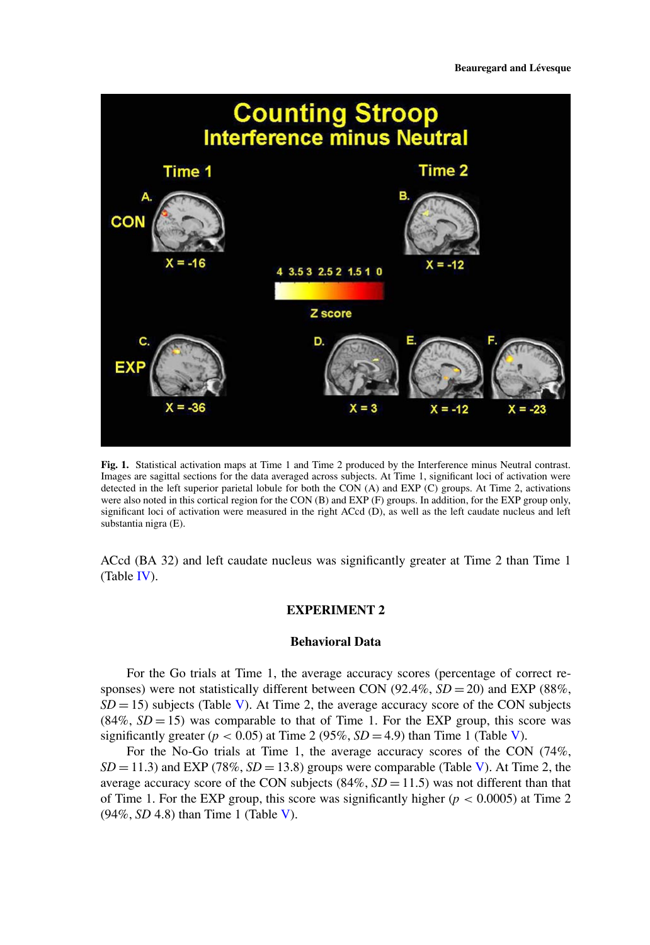<span id="page-9-0"></span>

**Fig. 1.** Statistical activation maps at Time 1 and Time 2 produced by the Interference minus Neutral contrast. Images are sagittal sections for the data averaged across subjects. At Time 1, significant loci of activation were detected in the left superior parietal lobule for both the CON (A) and EXP (C) groups. At Time 2, activations were also noted in this cortical region for the CON (B) and EXP (F) groups. In addition, for the EXP group only, significant loci of activation were measured in the right ACcd (D), as well as the left caudate nucleus and left substantia nigra (E).

ACcd (BA 32) and left caudate nucleus was significantly greater at Time 2 than Time 1 (Table [IV\)](#page-10-0).

# **EXPERIMENT 2**

# **Behavioral Data**

For the Go trials at Time 1, the average accuracy scores (percentage of correct responses) were not statistically different between CON (92.4%, *SD* = 20) and EXP (88%,  $SD = 15$ ) subjects (Table [V\)](#page-10-1). At Time 2, the average accuracy score of the CON subjects  $(84\%, SD = 15)$  was comparable to that of Time 1. For the EXP group, this score was significantly greater  $(p < 0.05)$  at Time 2 (95%,  $SD = 4.9$ ) than Time 1 (Table [V\)](#page-10-1).

For the No-Go trials at Time 1, the average accuracy scores of the CON (74%,  $SD = 11.3$ ) and EXP (78%,  $SD = 13.8$ ) groups were comparable (Table [V\)](#page-10-1). At Time 2, the average accuracy score of the CON subjects  $(84\%, SD = 11.5)$  was not different than that of Time 1. For the EXP group, this score was significantly higher ( $p < 0.0005$ ) at Time 2 (94%, *SD* 4.8) than Time 1 (Table [V\)](#page-10-1).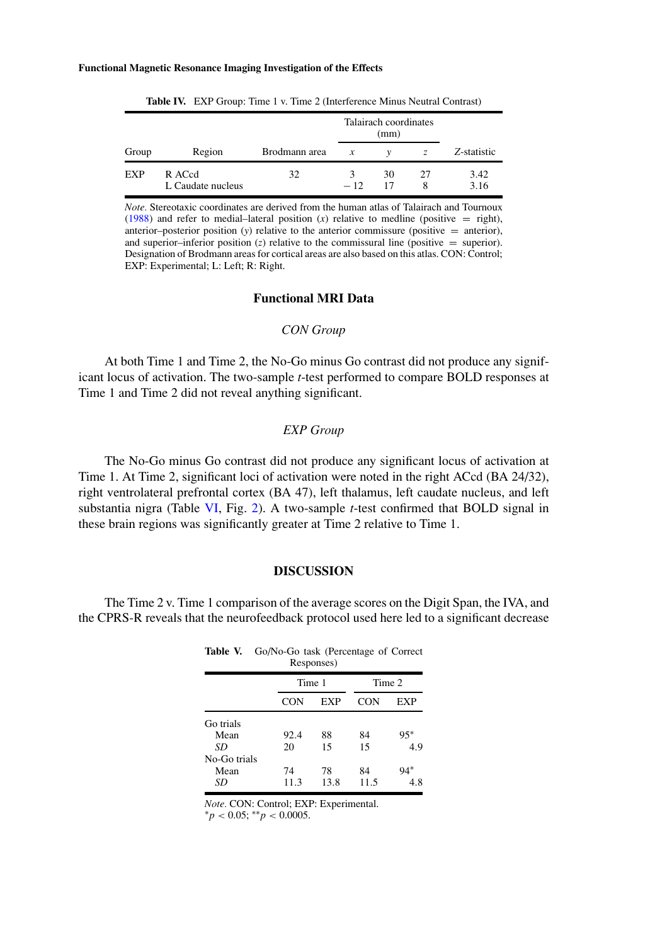<span id="page-10-0"></span>

|            |                             |               | Talairach coordinates<br>(mm) |    |    |              |
|------------|-----------------------------|---------------|-------------------------------|----|----|--------------|
| Group      | Region                      | Brodmann area | $\mathcal{X}$                 |    |    | Z-statistic  |
| <b>EXP</b> | R ACcd<br>L Caudate nucleus | 32            | $-12$                         | 30 | 27 | 3.42<br>3.16 |

**Table IV.** EXP Group: Time 1 v. Time 2 (Interference Minus Neutral Contrast)

*Note.* Stereotaxic coordinates are derived from the human atlas of Talairach and Tournoux [\(1988\)](#page-17-13) and refer to medial–lateral position  $(x)$  relative to medline (positive  $=$  right), anterior–posterior position  $(y)$  relative to the anterior commissure (positive  $=$  anterior), and superior–inferior position  $(z)$  relative to the commissural line (positive  $=$  superior). Designation of Brodmann areas for cortical areas are also based on this atlas. CON: Control; EXP: Experimental; L: Left; R: Right.

# **Functional MRI Data**

## *CON Group*

At both Time 1 and Time 2, the No-Go minus Go contrast did not produce any significant locus of activation. The two-sample *t*-test performed to compare BOLD responses at Time 1 and Time 2 did not reveal anything significant.

# *EXP Group*

The No-Go minus Go contrast did not produce any significant locus of activation at Time 1. At Time 2, significant loci of activation were noted in the right ACcd (BA 24/32), right ventrolateral prefrontal cortex (BA 47), left thalamus, left caudate nucleus, and left substantia nigra (Table [VI,](#page-11-0) Fig. [2\)](#page-11-1). A two-sample *t*-test confirmed that BOLD signal in these brain regions was significantly greater at Time 2 relative to Time 1.

## **DISCUSSION**

<span id="page-10-1"></span>The Time 2 v. Time 1 comparison of the average scores on the Digit Span, the IVA, and the CPRS-R reveals that the neurofeedback protocol used here led to a significant decrease

| Go/No-Go task (Percentage of Correct<br>Table V.<br>Responses) |        |      |      |        |  |  |  |
|----------------------------------------------------------------|--------|------|------|--------|--|--|--|
|                                                                | Time 1 |      |      | Time 2 |  |  |  |
|                                                                | CON    | EXP  | CON  | EXP    |  |  |  |
| Go trials                                                      |        |      |      |        |  |  |  |
| Mean                                                           | 92.4   | 88   | 84   | 95*    |  |  |  |
| SD                                                             | 20     | 15   | 15   | 4.9    |  |  |  |
| No-Go trials                                                   |        |      |      |        |  |  |  |
| Mean                                                           | 74     | 78   | 84   | 94*    |  |  |  |
| SD                                                             | 11.3   | 13.8 | 11.5 | 4.8    |  |  |  |

*Note.* CON: Control; EXP: Experimental. <sup>∗</sup>*<sup>p</sup> <sup>&</sup>lt;* 0.05; ∗∗*<sup>p</sup> <sup>&</sup>lt;* 0.0005.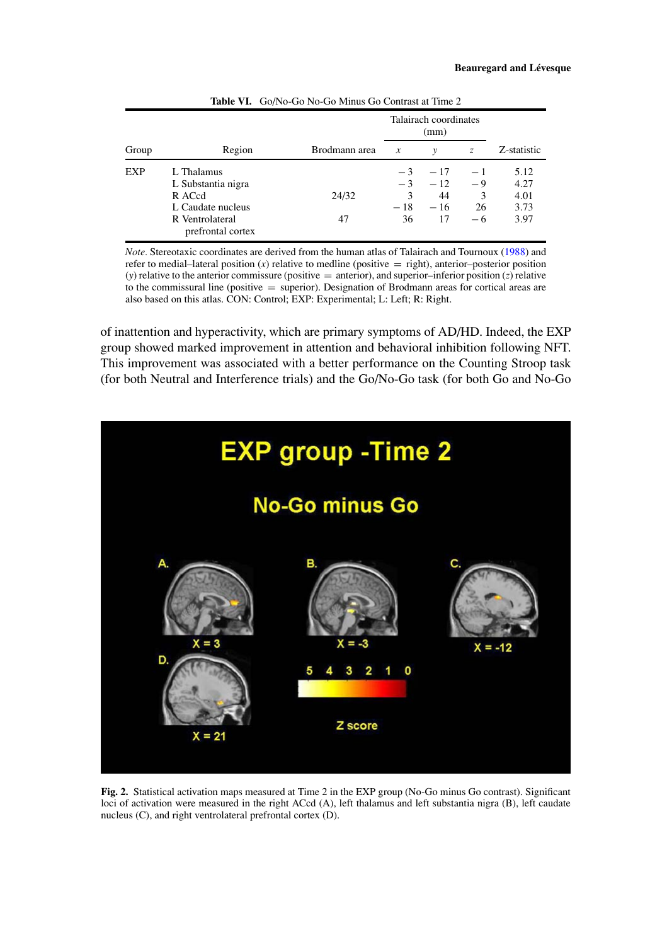<span id="page-11-0"></span>

|       |                                                                                                         |               | Talairach coordinates<br>(mm)    |                                     |                              |                                      |
|-------|---------------------------------------------------------------------------------------------------------|---------------|----------------------------------|-------------------------------------|------------------------------|--------------------------------------|
| Group | Region                                                                                                  | Brodmann area | $\boldsymbol{x}$                 | $\mathcal V$                        | $\mathcal{Z}$                | Z-statistic                          |
| EXP   | L Thalamus<br>L Substantia nigra<br>R ACcd<br>L Caudate nucleus<br>R Ventrolateral<br>prefrontal cortex | 24/32<br>47   | $-3$<br>$-3$<br>3<br>$-18$<br>36 | $-17$<br>$-12$<br>44<br>$-16$<br>17 | $-1$<br>-9<br>3<br>26<br>- 6 | 5.12<br>4.27<br>4.01<br>3.73<br>3.97 |

**Table VI.** Go/No-Go No-Go Minus Go Contrast at Time 2

*Note.* Stereotaxic coordinates are derived from the human atlas of Talairach and Tournoux [\(1988\)](#page-17-13) and refer to medial–lateral position  $(x)$  relative to medline (positive  $=$  right), anterior–posterior position (*y*) relative to the anterior commissure (positive = anterior), and superior–inferior position (*z*) relative to the commissural line (positive  $=$  superior). Designation of Brodmann areas for cortical areas are also based on this atlas. CON: Control; EXP: Experimental; L: Left; R: Right.

of inattention and hyperactivity, which are primary symptoms of AD/HD. Indeed, the EXP group showed marked improvement in attention and behavioral inhibition following NFT. This improvement was associated with a better performance on the Counting Stroop task (for both Neutral and Interference trials) and the Go/No-Go task (for both Go and No-Go

<span id="page-11-1"></span>

**Fig. 2.** Statistical activation maps measured at Time 2 in the EXP group (No-Go minus Go contrast). Significant loci of activation were measured in the right ACcd (A), left thalamus and left substantia nigra (B), left caudate nucleus (C), and right ventrolateral prefrontal cortex (D).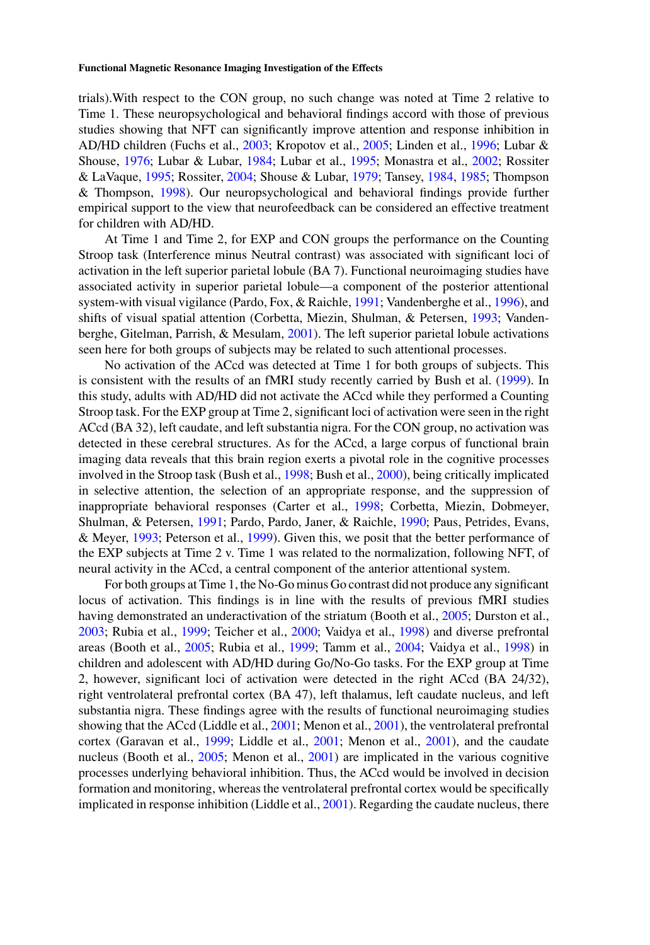trials).With respect to the CON group, no such change was noted at Time 2 relative to Time 1. These neuropsychological and behavioral findings accord with those of previous studies showing that NFT can significantly improve attention and response inhibition in AD/HD children (Fuchs et al., [2003;](#page-15-17) Kropotov et al., [2005;](#page-15-18) Linden et al., [1996;](#page-16-11) Lubar & Shouse, [1976;](#page-16-12) Lubar & Lubar, [1984;](#page-16-13) Lubar et al., [1995;](#page-16-14) Monastra et al., [2002;](#page-16-15) Rossiter & LaVaque, [1995;](#page-16-16) Rossiter, [2004;](#page-16-17) Shouse & Lubar, [1979;](#page-16-18) Tansey, [1984,](#page-17-7) [1985;](#page-17-8) Thompson & Thompson, [1998\)](#page-17-9). Our neuropsychological and behavioral findings provide further empirical support to the view that neurofeedback can be considered an effective treatment for children with AD/HD.

At Time 1 and Time 2, for EXP and CON groups the performance on the Counting Stroop task (Interference minus Neutral contrast) was associated with significant loci of activation in the left superior parietal lobule (BA 7). Functional neuroimaging studies have associated activity in superior parietal lobule—a component of the posterior attentional system-with visual vigilance (Pardo, Fox, & Raichle, [1991;](#page-16-20) Vandenberghe et al., [1996\)](#page-17-14), and shifts of visual spatial attention (Corbetta, Miezin, Shulman, & Petersen, [1993;](#page-14-16) Vandenberghe, Gitelman, Parrish, & Mesulam, [2001\)](#page-17-15). The left superior parietal lobule activations seen here for both groups of subjects may be related to such attentional processes.

No activation of the ACcd was detected at Time 1 for both groups of subjects. This is consistent with the results of an fMRI study recently carried by Bush et al. [\(1999\)](#page-14-8). In this study, adults with AD/HD did not activate the ACcd while they performed a Counting Stroop task. For the EXP group at Time 2, significant loci of activation were seen in the right ACcd (BA 32), left caudate, and left substantia nigra. For the CON group, no activation was detected in these cerebral structures. As for the ACcd, a large corpus of functional brain imaging data reveals that this brain region exerts a pivotal role in the cognitive processes involved in the Stroop task (Bush et al., [1998;](#page-14-9) Bush et al., [2000\)](#page-14-10), being critically implicated in selective attention, the selection of an appropriate response, and the suppression of inappropriate behavioral responses (Carter et al., [1998;](#page-14-17) Corbetta, Miezin, Dobmeyer, Shulman, & Petersen, [1991;](#page-14-18) Pardo, Pardo, Janer, & Raichle, [1990;](#page-16-21) Paus, Petrides, Evans, & Meyer, [1993;](#page-16-22) Peterson et al., [1999\)](#page-16-23). Given this, we posit that the better performance of the EXP subjects at Time 2 v. Time 1 was related to the normalization, following NFT, of neural activity in the ACcd, a central component of the anterior attentional system.

For both groups at Time 1, the No-Go minus Go contrast did not produce any significant locus of activation. This findings is in line with the results of previous fMRI studies having demonstrated an underactivation of the striatum (Booth et al., [2005;](#page-14-13) Durston et al., [2003;](#page-15-16) Rubia et al., [1999;](#page-16-10) Teicher et al., [2000;](#page-17-5) Vaidya et al., [1998\)](#page-17-4) and diverse prefrontal areas (Booth et al., [2005;](#page-14-13) Rubia et al., [1999;](#page-16-10) Tamm et al., [2004;](#page-17-6) Vaidya et al., [1998\)](#page-17-4) in children and adolescent with AD/HD during Go/No-Go tasks. For the EXP group at Time 2, however, significant loci of activation were detected in the right ACcd (BA 24/32), right ventrolateral prefrontal cortex (BA 47), left thalamus, left caudate nucleus, and left substantia nigra. These findings agree with the results of functional neuroimaging studies showing that the ACcd (Liddle et al., [2001;](#page-16-7) Menon et al., [2001\)](#page-16-8), the ventrolateral prefrontal cortex (Garavan et al., [1999;](#page-15-13) Liddle et al., [2001;](#page-16-7) Menon et al., [2001\)](#page-16-8), and the caudate nucleus (Booth et al., [2005;](#page-14-13) Menon et al., [2001\)](#page-16-8) are implicated in the various cognitive processes underlying behavioral inhibition. Thus, the ACcd would be involved in decision formation and monitoring, whereas the ventrolateral prefrontal cortex would be specifically implicated in response inhibition (Liddle et al.,  $2001$ ). Regarding the caudate nucleus, there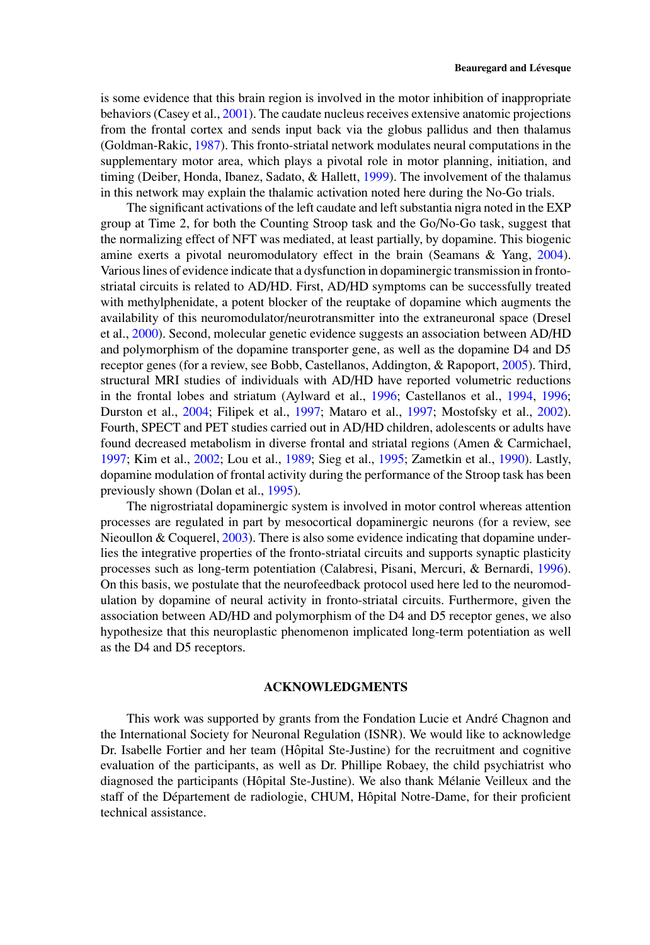is some evidence that this brain region is involved in the motor inhibition of inappropriate behaviors (Casey et al., [2001\)](#page-14-12). The caudate nucleus receives extensive anatomic projections from the frontal cortex and sends input back via the globus pallidus and then thalamus (Goldman-Rakic, [1987\)](#page-15-21). This fronto-striatal network modulates neural computations in the supplementary motor area, which plays a pivotal role in motor planning, initiation, and timing (Deiber, Honda, Ibanez, Sadato, & Hallett, [1999\)](#page-14-19). The involvement of the thalamus in this network may explain the thalamic activation noted here during the No-Go trials.

The significant activations of the left caudate and left substantia nigra noted in the EXP group at Time 2, for both the Counting Stroop task and the Go/No-Go task, suggest that the normalizing effect of NFT was mediated, at least partially, by dopamine. This biogenic amine exerts a pivotal neuromodulatory effect in the brain (Seamans & Yang, [2004\)](#page-16-24). Various lines of evidence indicate that a dysfunction in dopaminergic transmission in frontostriatal circuits is related to AD/HD. First, AD/HD symptoms can be successfully treated with methylphenidate, a potent blocker of the reuptake of dopamine which augments the availability of this neuromodulator/neurotransmitter into the extraneuronal space (Dresel et al., [2000\)](#page-15-22). Second, molecular genetic evidence suggests an association between AD/HD and polymorphism of the dopamine transporter gene, as well as the dopamine D4 and D5 receptor genes (for a review, see Bobb, Castellanos, Addington, & Rapoport, [2005\)](#page-14-20). Third, structural MRI studies of individuals with AD/HD have reported volumetric reductions in the frontal lobes and striatum (Aylward et al., [1996;](#page-14-2) Castellanos et al., [1994,](#page-14-3) [1996;](#page-14-4) Durston et al., [2004;](#page-15-3) Filipek et al., [1997;](#page-15-4) Mataro et al., [1997;](#page-16-2) Mostofsky et al., [2002\)](#page-16-3). Fourth, SPECT and PET studies carried out in AD/HD children, adolescents or adults have found decreased metabolism in diverse frontal and striatal regions (Amen & Carmichael, [1997;](#page-14-7) Kim et al., [2002;](#page-15-9) Lou et al., [1989;](#page-16-5) Sieg et al., [1995;](#page-16-6) Zametkin et al., [1990\)](#page-17-2). Lastly, dopamine modulation of frontal activity during the performance of the Stroop task has been previously shown (Dolan et al., [1995\)](#page-14-21).

The nigrostriatal dopaminergic system is involved in motor control whereas attention processes are regulated in part by mesocortical dopaminergic neurons (for a review, see Nieoullon & Coquerel,  $2003$ ). There is also some evidence indicating that dopamine underlies the integrative properties of the fronto-striatal circuits and supports synaptic plasticity processes such as long-term potentiation (Calabresi, Pisani, Mercuri, & Bernardi, [1996\)](#page-14-22). On this basis, we postulate that the neurofeedback protocol used here led to the neuromodulation by dopamine of neural activity in fronto-striatal circuits. Furthermore, given the association between AD/HD and polymorphism of the D4 and D5 receptor genes, we also hypothesize that this neuroplastic phenomenon implicated long-term potentiation as well as the D4 and D5 receptors.

# **ACKNOWLEDGMENTS**

This work was supported by grants from the Fondation Lucie et André Chagnon and the International Society for Neuronal Regulation (ISNR). We would like to acknowledge Dr. Isabelle Fortier and her team (Hôpital Ste-Justine) for the recruitment and cognitive evaluation of the participants, as well as Dr. Phillipe Robaey, the child psychiatrist who diagnosed the participants (Hôpital Ste-Justine). We also thank Mélanie Veilleux and the staff of the Département de radiologie, CHUM, Hôpital Notre-Dame, for their proficient technical assistance.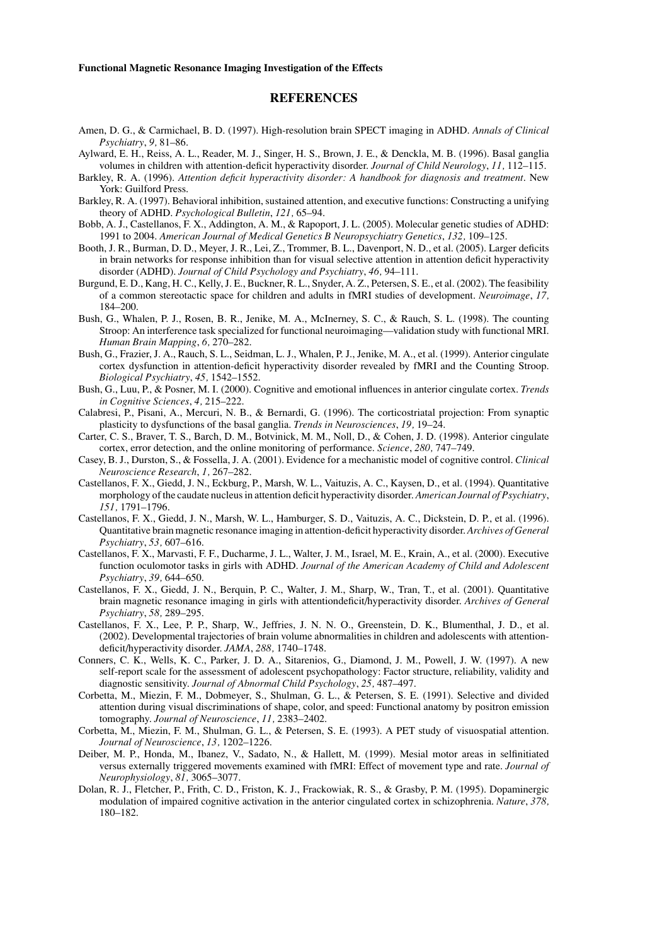# <span id="page-14-20"></span><span id="page-14-13"></span><span id="page-14-2"></span><span id="page-14-1"></span>**REFERENCES**

- Amen, D. G., & Carmichael, B. D. (1997). High-resolution brain SPECT imaging in ADHD. *Annals of Clinical Psychiatry*, *9,* 81–86.
- <span id="page-14-7"></span>Aylward, E. H., Reiss, A. L., Reader, M. J., Singer, H. S., Brown, J. E., & Denckla, M. B. (1996). Basal ganglia volumes in children with attention-deficit hyperactivity disorder. *Journal of Child Neurology*, *11,* 112–115.
- Barkley, R. A. (1996). *Attention deficit hyperactivity disorder: A handbook for diagnosis and treatment*. New York: Guilford Press.
- <span id="page-14-0"></span>Barkley, R. A. (1997). Behavioral inhibition, sustained attention, and executive functions: Constructing a unifying theory of ADHD. *Psychological Bulletin*, *121,* 65–94.
- Bobb, A. J., Castellanos, F. X., Addington, A. M., & Rapoport, J. L. (2005). Molecular genetic studies of ADHD: 1991 to 2004. *American Journal of Medical Genetics B Neuropsychiatry Genetics*, *132,* 109–125.
- Booth, J. R., Burman, D. D., Meyer, J. R., Lei, Z., Trommer, B. L., Davenport, N. D., et al. (2005). Larger deficits in brain networks for response inhibition than for visual selective attention in attention deficit hyperactivity disorder (ADHD). *Journal of Child Psychology and Psychiatry*, *46,* 94–111.
- Burgund, E. D., Kang, H. C., Kelly, J. E., Buckner, R. L., Snyder, A. Z., Petersen, S. E., et al. (2002). The feasibility of a common stereotactic space for children and adults in fMRI studies of development. *Neuroimage*, *17,* 184–200.
- <span id="page-14-15"></span>Bush, G., Whalen, P. J., Rosen, B. R., Jenike, M. A., McInerney, S. C., & Rauch, S. L. (1998). The counting Stroop: An interference task specialized for functional neuroimaging—validation study with functional MRI. *Human Brain Mapping*, *6,* 270–282.
- <span id="page-14-9"></span>Bush, G., Frazier, J. A., Rauch, S. L., Seidman, L. J., Whalen, P. J., Jenike, M. A., et al. (1999). Anterior cingulate cortex dysfunction in attention-deficit hyperactivity disorder revealed by fMRI and the Counting Stroop. *Biological Psychiatry*, *45,* 1542–1552.
- <span id="page-14-8"></span>Bush, G., Luu, P., & Posner, M. I. (2000). Cognitive and emotional influences in anterior cingulate cortex. *Trends in Cognitive Sciences*, *4,* 215–222.
- <span id="page-14-10"></span>Calabresi, P., Pisani, A., Mercuri, N. B., & Bernardi, G. (1996). The corticostriatal projection: From synaptic plasticity to dysfunctions of the basal ganglia. *Trends in Neurosciences*, *19,* 19–24.
- <span id="page-14-22"></span>Carter, C. S., Braver, T. S., Barch, D. M., Botvinick, M. M., Noll, D., & Cohen, J. D. (1998). Anterior cingulate cortex, error detection, and the online monitoring of performance. *Science*, *280,* 747–749.
- <span id="page-14-17"></span>Casey, B. J., Durston, S., & Fossella, J. A. (2001). Evidence for a mechanistic model of cognitive control. *Clinical Neuroscience Research*, *1,* 267–282.
- <span id="page-14-12"></span>Castellanos, F. X., Giedd, J. N., Eckburg, P., Marsh, W. L., Vaituzis, A. C., Kaysen, D., et al. (1994). Quantitative morphology of the caudate nucleus in attention deficit hyperactivity disorder. *American Journal of Psychiatry*, *151,* 1791–1796.
- <span id="page-14-3"></span>Castellanos, F. X., Giedd, J. N., Marsh, W. L., Hamburger, S. D., Vaituzis, A. C., Dickstein, D. P., et al. (1996). Quantitative brain magnetic resonance imaging in attention-deficit hyperactivity disorder. *Archives of General Psychiatry*, *53,* 607–616.
- <span id="page-14-4"></span>Castellanos, F. X., Marvasti, F. F., Ducharme, J. L., Walter, J. M., Israel, M. E., Krain, A., et al. (2000). Executive function oculomotor tasks in girls with ADHD. *Journal of the American Academy of Child and Adolescent Psychiatry*, *39,* 644–650.
- <span id="page-14-11"></span>Castellanos, F. X., Giedd, J. N., Berquin, P. C., Walter, J. M., Sharp, W., Tran, T., et al. (2001). Quantitative brain magnetic resonance imaging in girls with attentiondeficit/hyperactivity disorder. *Archives of General Psychiatry*, *58,* 289–295.
- <span id="page-14-5"></span>Castellanos, F. X., Lee, P. P., Sharp, W., Jeffries, J. N. N. O., Greenstein, D. K., Blumenthal, J. D., et al. (2002). Developmental trajectories of brain volume abnormalities in children and adolescents with attentiondeficit/hyperactivity disorder. *JAMA*, *288,* 1740–1748.
- <span id="page-14-6"></span>Conners, C. K., Wells, K. C., Parker, J. D. A., Sitarenios, G., Diamond, J. M., Powell, J. W. (1997). A new self-report scale for the assessment of adolescent psychopathology: Factor structure, reliability, validity and diagnostic sensitivity. *Journal of Abnormal Child Psychology*, *25,* 487–497.
- <span id="page-14-14"></span>Corbetta, M., Miezin, F. M., Dobmeyer, S., Shulman, G. L., & Petersen, S. E. (1991). Selective and divided attention during visual discriminations of shape, color, and speed: Functional anatomy by positron emission tomography. *Journal of Neuroscience*, *11,* 2383–2402.
- <span id="page-14-18"></span>Corbetta, M., Miezin, F. M., Shulman, G. L., & Petersen, S. E. (1993). A PET study of visuospatial attention. *Journal of Neuroscience*, *13,* 1202–1226.
- <span id="page-14-16"></span>Deiber, M. P., Honda, M., Ibanez, V., Sadato, N., & Hallett, M. (1999). Mesial motor areas in selfinitiated versus externally triggered movements examined with fMRI: Effect of movement type and rate. *Journal of Neurophysiology*, *81,* 3065–3077.
- <span id="page-14-21"></span><span id="page-14-19"></span>Dolan, R. J., Fletcher, P., Frith, C. D., Friston, K. J., Frackowiak, R. S., & Grasby, P. M. (1995). Dopaminergic modulation of impaired cognitive activation in the anterior cingulated cortex in schizophrenia. *Nature*, *378,* 180–182.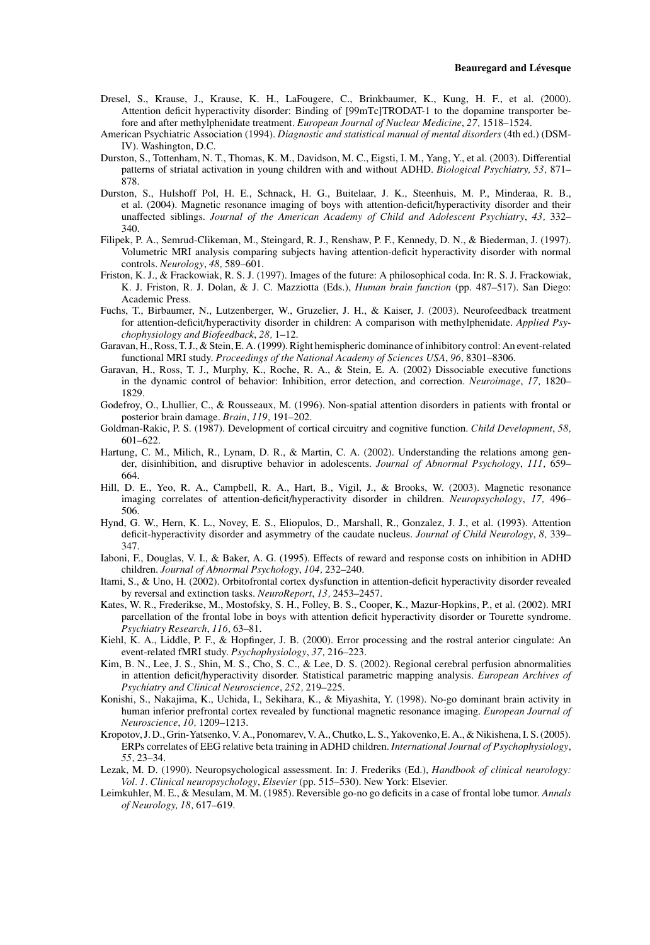- Dresel, S., Krause, J., Krause, K. H., LaFougere, C., Brinkbaumer, K., Kung, H. F., et al. (2000). Attention deficit hyperactivity disorder: Binding of [99mTc]TRODAT-1 to the dopamine transporter before and after methylphenidate treatment. *European Journal of Nuclear Medicine*, *27,* 1518–1524.
- <span id="page-15-22"></span>American Psychiatric Association (1994). *Diagnostic and statistical manual of mental disorders* (4th ed.) (DSM-IV). Washington, D.C.
- <span id="page-15-19"></span>Durston, S., Tottenham, N. T., Thomas, K. M., Davidson, M. C., Eigsti, I. M., Yang, Y., et al. (2003). Differential patterns of striatal activation in young children with and without ADHD. *Biological Psychiatry, 53,* 871– 878.
- <span id="page-15-16"></span>Durston, S., Hulshoff Pol, H. E., Schnack, H. G., Buitelaar, J. K., Steenhuis, M. P., Minderaa, R. B., et al. (2004). Magnetic resonance imaging of boys with attention-deficit/hyperactivity disorder and their unaffected siblings. *Journal of the American Academy of Child and Adolescent Psychiatry*, *43,* 332– 340.
- <span id="page-15-3"></span>Filipek, P. A., Semrud-Clikeman, M., Steingard, R. J., Renshaw, P. F., Kennedy, D. N., & Biederman, J. (1997). Volumetric MRI analysis comparing subjects having attention-deficit hyperactivity disorder with normal controls. *Neurology*, *48,* 589–601.
- <span id="page-15-4"></span>Friston, K. J., & Frackowiak, R. S. J. (1997). Images of the future: A philosophical coda. In: R. S. J. Frackowiak, K. J. Friston, R. J. Dolan, & J. C. Mazziotta (Eds.), *Human brain function* (pp. 487–517). San Diego: Academic Press.
- <span id="page-15-20"></span>Fuchs, T., Birbaumer, N., Lutzenberger, W., Gruzelier, J. H., & Kaiser, J. (2003). Neurofeedback treatment for attention-deficit/hyperactivity disorder in children: A comparison with methylphenidate. *Applied Psychophysiology and Biofeedback*, *28,* 1–12.
- <span id="page-15-17"></span>Garavan, H., Ross, T. J., & Stein, E. A. (1999). Right hemispheric dominance of inhibitory control: An event-related functional MRI study. *Proceedings of the National Academy of Sciences USA*, *96,* 8301–8306.
- <span id="page-15-13"></span>Garavan, H., Ross, T. J., Murphy, K., Roche, R. A., & Stein, E. A. (2002) Dissociable executive functions in the dynamic control of behavior: Inhibition, error detection, and correction. *Neuroimage*, *17,* 1820– 1829.
- <span id="page-15-6"></span>Godefroy, O., Lhullier, C., & Rousseaux, M. (1996). Non-spatial attention disorders in patients with frontal or posterior brain damage. *Brain*, *119,* 191–202.
- <span id="page-15-1"></span>Goldman-Rakic, P. S. (1987). Development of cortical circuitry and cognitive function. *Child Development*, *58,* 601–622.
- <span id="page-15-21"></span>Hartung, C. M., Milich, R., Lynam, D. R., & Martin, C. A. (2002). Understanding the relations among gender, disinhibition, and disruptive behavior in adolescents. *Journal of Abnormal Psychology*, *111,* 659– 664.
- <span id="page-15-10"></span>Hill, D. E., Yeo, R. A., Campbell, R. A., Hart, B., Vigil, J., & Brooks, W. (2003). Magnetic resonance imaging correlates of attention-deficit/hyperactivity disorder in children. *Neuropsychology*, *17,* 496– 506.
- <span id="page-15-5"></span>Hynd, G. W., Hern, K. L., Novey, E. S., Eliopulos, D., Marshall, R., Gonzalez, J. J., et al. (1993). Attention deficit-hyperactivity disorder and asymmetry of the caudate nucleus. *Journal of Child Neurology*, *8,* 339– 347.
- <span id="page-15-8"></span>Iaboni, F., Douglas, V. I., & Baker, A. G. (1995). Effects of reward and response costs on inhibition in ADHD children. *Journal of Abnormal Psychology*, *104,* 232–240.
- <span id="page-15-11"></span>Itami, S., & Uno, H. (2002). Orbitofrontal cortex dysfunction in attention-deficit hyperactivity disorder revealed by reversal and extinction tasks. *NeuroReport*, *13,* 2453–2457.
- <span id="page-15-12"></span>Kates, W. R., Frederikse, M., Mostofsky, S. H., Folley, B. S., Cooper, K., Mazur-Hopkins, P., et al. (2002). MRI parcellation of the frontal lobe in boys with attention deficit hyperactivity disorder or Tourette syndrome. *Psychiatry Research*, *116,* 63–81.
- <span id="page-15-7"></span>Kiehl, K. A., Liddle, P. F., & Hopfinger, J. B. (2000). Error processing and the rostral anterior cingulate: An event-related fMRI study. *Psychophysiology*, *37,* 216–223.
- <span id="page-15-14"></span>Kim, B. N., Lee, J. S., Shin, M. S., Cho, S. C., & Lee, D. S. (2002). Regional cerebral perfusion abnormalities in attention deficit/hyperactivity disorder. Statistical parametric mapping analysis. *European Archives of Psychiatry and Clinical Neuroscience*, *252,* 219–225.
- <span id="page-15-9"></span>Konishi, S., Nakajima, K., Uchida, I., Sekihara, K., & Miyashita, Y. (1998). No-go dominant brain activity in human inferior prefrontal cortex revealed by functional magnetic resonance imaging. *European Journal of Neuroscience*, *10,* 1209–1213.
- <span id="page-15-15"></span>Kropotov, J. D., Grin-Yatsenko, V. A., Ponomarev, V. A., Chutko, L. S., Yakovenko, E. A., & Nikishena, I. S. (2005). ERPs correlates of EEG relative beta training in ADHD children. *International Journal of Psychophysiology*, *55,* 23–34.
- <span id="page-15-18"></span>Lezak, M. D. (1990). Neuropsychological assessment. In: J. Frederiks (Ed.), *Handbook of clinical neurology: Vol. 1. Clinical neuropsychology*, *Elsevier* (pp. 515–530). New York: Elsevier.
- <span id="page-15-2"></span><span id="page-15-0"></span>Leimkuhler, M. E., & Mesulam, M. M. (1985). Reversible go-no go deficits in a case of frontal lobe tumor. *Annals of Neurology, 18,* 617–619.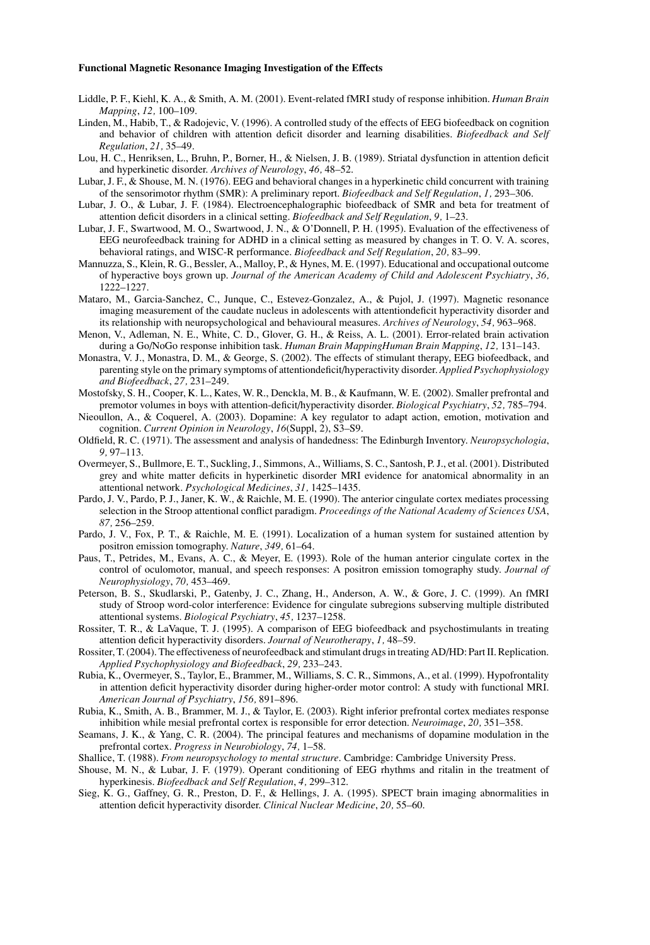- Liddle, P. F., Kiehl, K. A., & Smith, A. M. (2001). Event-related fMRI study of response inhibition. *Human Brain Mapping*, *12,* 100–109.
- <span id="page-16-7"></span>Linden, M., Habib, T., & Radojevic, V. (1996). A controlled study of the effects of EEG biofeedback on cognition and behavior of children with attention deficit disorder and learning disabilities. *Biofeedback and Self Regulation*, *21,* 35–49.
- <span id="page-16-11"></span>Lou, H. C., Henriksen, L., Bruhn, P., Borner, H., & Nielsen, J. B. (1989). Striatal dysfunction in attention deficit and hyperkinetic disorder. *Archives of Neurology*, *46,* 48–52.
- <span id="page-16-5"></span>Lubar, J. F., & Shouse, M. N. (1976). EEG and behavioral changes in a hyperkinetic child concurrent with training of the sensorimotor rhythm (SMR): A preliminary report. *Biofeedback and Self Regulation*, *1,* 293–306.
- <span id="page-16-12"></span>Lubar, J. O., & Lubar, J. F. (1984). Electroencephalographic biofeedback of SMR and beta for treatment of attention deficit disorders in a clinical setting. *Biofeedback and Self Regulation*, *9,* 1–23.
- <span id="page-16-13"></span>Lubar, J. F., Swartwood, M. O., Swartwood, J. N., & O'Donnell, P. H. (1995). Evaluation of the effectiveness of EEG neurofeedback training for ADHD in a clinical setting as measured by changes in T. O. V. A. scores, behavioral ratings, and WISC-R performance. *Biofeedback and Self Regulation*, *20,* 83–99.
- <span id="page-16-14"></span>Mannuzza, S., Klein, R. G., Bessler, A., Malloy, P., & Hynes, M. E. (1997). Educational and occupational outcome of hyperactive boys grown up. *Journal of the American Academy of Child and Adolescent Psychiatry*, *36,* 1222–1227.
- <span id="page-16-0"></span>Mataro, M., Garcia-Sanchez, C., Junque, C., Estevez-Gonzalez, A., & Pujol, J. (1997). Magnetic resonance imaging measurement of the caudate nucleus in adolescents with attentiondeficit hyperactivity disorder and its relationship with neuropsychological and behavioural measures. *Archives of Neurology*, *54,* 963–968.
- <span id="page-16-2"></span>Menon, V., Adleman, N. E., White, C. D., Glover, G. H., & Reiss, A. L. (2001). Error-related brain activation during a Go/NoGo response inhibition task. *Human Brain MappingHuman Brain Mapping*, *12,* 131–143.
- <span id="page-16-8"></span>Monastra, V. J., Monastra, D. M., & George, S. (2002). The effects of stimulant therapy, EEG biofeedback, and parenting style on the primary symptoms of attentiondeficit/hyperactivity disorder. *Applied Psychophysiology and Biofeedback*, *27,* 231–249.
- <span id="page-16-15"></span>Mostofsky, S. H., Cooper, K. L., Kates, W. R., Denckla, M. B., & Kaufmann, W. E. (2002). Smaller prefrontal and premotor volumes in boys with attention-deficit/hyperactivity disorder. *Biological Psychiatry*, *52,* 785–794.
- <span id="page-16-3"></span>Nieoullon, A., & Coquerel, A. (2003). Dopamine: A key regulator to adapt action, emotion, motivation and cognition. *Current Opinion in Neurology*, *16*(Suppl, 2), S3–S9.
- <span id="page-16-25"></span>Oldfield, R. C. (1971). The assessment and analysis of handedness: The Edinburgh Inventory. *Neuropsychologia*, *9,* 97–113.
- <span id="page-16-19"></span>Overmeyer, S., Bullmore, E. T., Suckling, J., Simmons, A., Williams, S. C., Santosh, P. J., et al. (2001). Distributed grey and white matter deficits in hyperkinetic disorder MRI evidence for anatomical abnormality in an attentional network. *Psychological Medicines*, *31,* 1425–1435.
- <span id="page-16-4"></span>Pardo, J. V., Pardo, P. J., Janer, K. W., & Raichle, M. E. (1990). The anterior cingulate cortex mediates processing selection in the Stroop attentional conflict paradigm. *Proceedings of the National Academy of Sciences USA*, *87,* 256–259.
- <span id="page-16-21"></span>Pardo, J. V., Fox, P. T., & Raichle, M. E. (1991). Localization of a human system for sustained attention by positron emission tomography. *Nature*, *349,* 61–64.
- <span id="page-16-20"></span>Paus, T., Petrides, M., Evans, A. C., & Meyer, E. (1993). Role of the human anterior cingulate cortex in the control of oculomotor, manual, and speech responses: A positron emission tomography study. *Journal of Neurophysiology*, *70,* 453–469.
- <span id="page-16-22"></span>Peterson, B. S., Skudlarski, P., Gatenby, J. C., Zhang, H., Anderson, A. W., & Gore, J. C. (1999). An fMRI study of Stroop word-color interference: Evidence for cingulate subregions subserving multiple distributed attentional systems. *Biological Psychiatry*, *45,* 1237–1258.
- <span id="page-16-23"></span>Rossiter, T. R., & LaVaque, T. J. (1995). A comparison of EEG biofeedback and psychostimulants in treating attention deficit hyperactivity disorders. *Journal of Neurotherapy*, *1,* 48–59.
- <span id="page-16-16"></span>Rossiter, T. (2004). The effectiveness of neurofeedback and stimulant drugs in treating AD/HD: Part II. Replication. *Applied Psychophysiology and Biofeedback*, *29,* 233–243.
- <span id="page-16-17"></span>Rubia, K., Overmeyer, S., Taylor, E., Brammer, M., Williams, S. C. R., Simmons, A., et al. (1999). Hypofrontality in attention deficit hyperactivity disorder during higher-order motor control: A study with functional MRI. *American Journal of Psychiatry*, *156,* 891–896.
- <span id="page-16-10"></span>Rubia, K., Smith, A. B., Brammer, M. J., & Taylor, E. (2003). Right inferior prefrontal cortex mediates response inhibition while mesial prefrontal cortex is responsible for error detection. *Neuroimage*, *20,* 351–358.
- <span id="page-16-9"></span>Seamans, J. K., & Yang, C. R. (2004). The principal features and mechanisms of dopamine modulation in the prefrontal cortex. *Progress in Neurobiology*, *74,* 1–58.
- <span id="page-16-24"></span>Shallice, T. (1988). *From neuropsychology to mental structure*. Cambridge: Cambridge University Press.
- <span id="page-16-1"></span>Shouse, M. N., & Lubar, J. F. (1979). Operant conditioning of EEG rhythms and ritalin in the treatment of hyperkinesis. *Biofeedback and Self Regulation*, *4,* 299–312.
- <span id="page-16-18"></span><span id="page-16-6"></span>Sieg, K. G., Gaffney, G. R., Preston, D. F., & Hellings, J. A. (1995). SPECT brain imaging abnormalities in attention deficit hyperactivity disorder. *Clinical Nuclear Medicine*, *20,* 55–60.